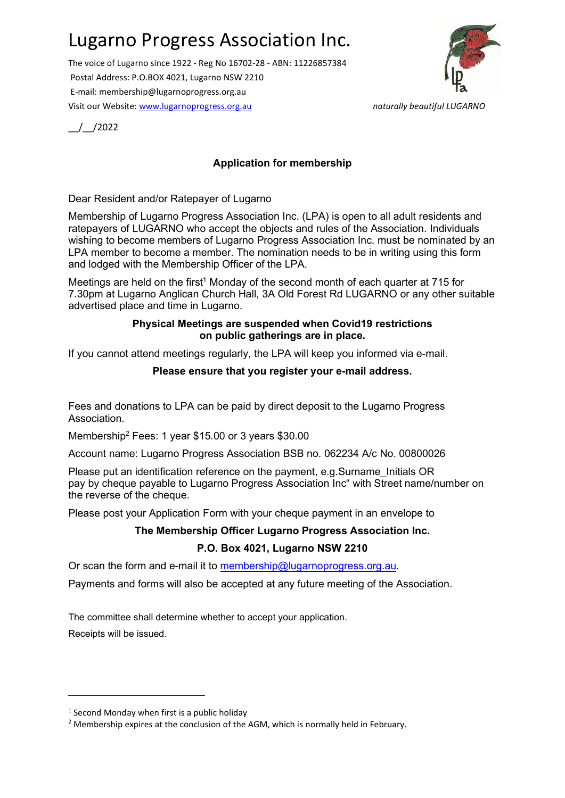# Lugarno Progress Association Inc.

The voice of Lugarno since 1922 - Reg No 16702-28 - ABN: 11226857384 Postal Address: P.O.BOX 4021, Lugarno NSW 2210 E-mail: membership@lugarnoprogress.org.au Visit our Website: www.lugarnoprogress.org.au naturally beautiful LUGARNO



\_\_/\_\_/2022

### Application for membership

#### Dear Resident and/or Ratepayer of Lugarno

Membership of Lugarno Progress Association Inc. (LPA) is open to all adult residents and ratepayers of LUGARNO who accept the objects and rules of the Association. Individuals wishing to become members of Lugarno Progress Association Inc. must be nominated by an LPA member to become a member. The nomination needs to be in writing using this form and lodged with the Membership Officer of the LPA.

Meetings are held on the first<sup>1</sup> Monday of the second month of each quarter at 715 for 7.30pm at Lugarno Anglican Church Hall, 3A Old Forest Rd LUGARNO or any other suitable advertised place and time in Lugarno.

#### Physical Meetings are suspended when Covid19 restrictions on public gatherings are in place.

If you cannot attend meetings regularly, the LPA will keep you informed via e-mail.

### Please ensure that you register your e-mail address.

Fees and donations to LPA can be paid by direct deposit to the Lugarno Progress Association.

Membership<sup>2</sup> Fees: 1 year \$15.00 or 3 years \$30.00

Account name: Lugarno Progress Association BSB no. 062234 A/c No. 00800026

Please put an identification reference on the payment, e.g.Surname Initials OR pay by cheque payable to Lugarno Progress Association Inc" with Street name/number on the reverse of the cheque.

Please post your Application Form with your cheque payment in an envelope to

### The Membership Officer Lugarno Progress Association Inc.

### P.O. Box 4021, Lugarno NSW 2210

Or scan the form and e-mail it to membership@lugarnoprogress.org.au.

Payments and forms will also be accepted at any future meeting of the Association.

The committee shall determine whether to accept your application. Receipts will be issued.

<sup>&</sup>lt;sup>1</sup> Second Monday when first is a public holiday

<sup>&</sup>lt;sup>2</sup> Membership expires at the conclusion of the AGM, which is normally held in February.